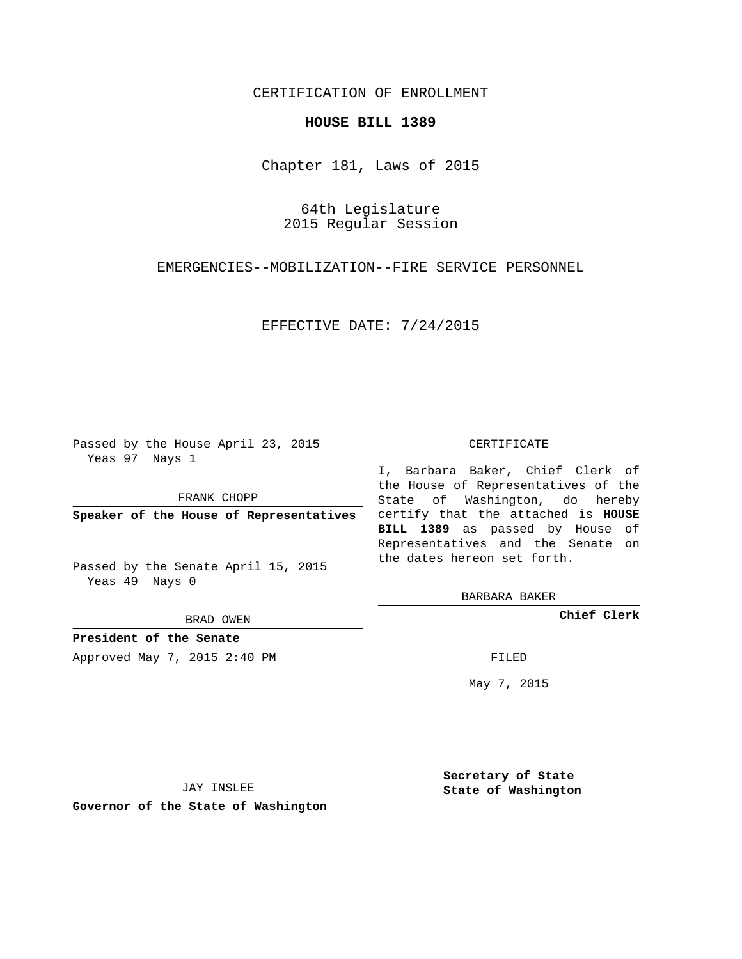## CERTIFICATION OF ENROLLMENT

#### **HOUSE BILL 1389**

Chapter 181, Laws of 2015

64th Legislature 2015 Regular Session

EMERGENCIES--MOBILIZATION--FIRE SERVICE PERSONNEL

EFFECTIVE DATE: 7/24/2015

Passed by the House April 23, 2015 Yeas 97 Nays 1

FRANK CHOPP

Passed by the Senate April 15, 2015 Yeas 49 Nays 0

BRAD OWEN

**President of the Senate**

Approved May 7, 2015 2:40 PM FILED

#### CERTIFICATE

**Speaker of the House of Representatives** certify that the attached is **HOUSE** I, Barbara Baker, Chief Clerk of the House of Representatives of the State of Washington, do hereby **BILL 1389** as passed by House of Representatives and the Senate on the dates hereon set forth.

BARBARA BAKER

**Chief Clerk**

May 7, 2015

JAY INSLEE

**Governor of the State of Washington**

**Secretary of State State of Washington**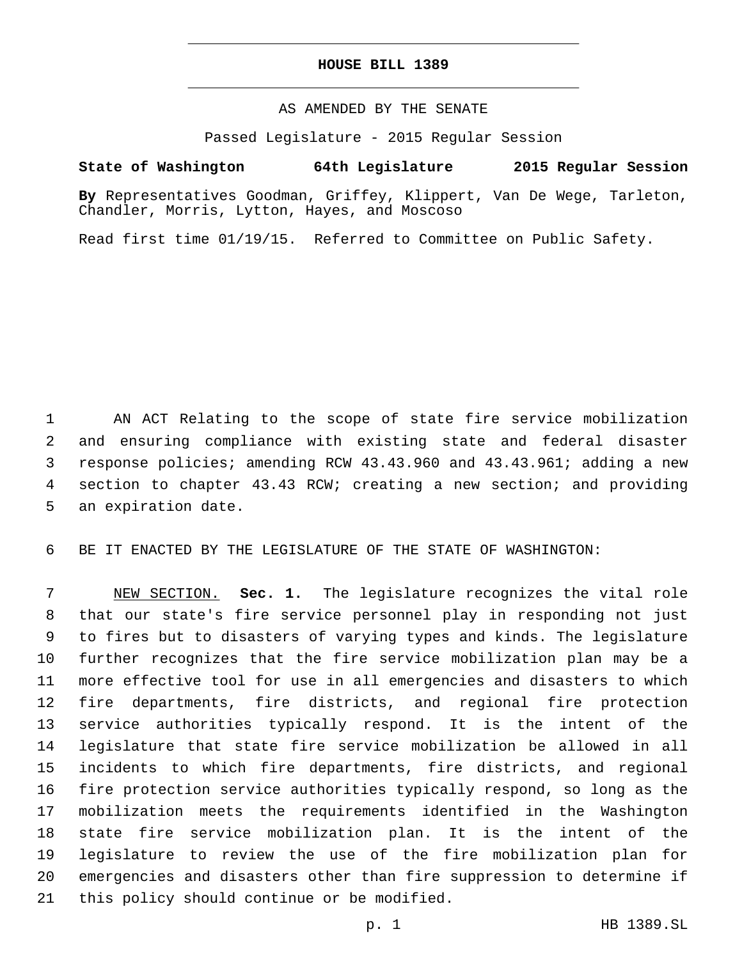### **HOUSE BILL 1389**

### AS AMENDED BY THE SENATE

Passed Legislature - 2015 Regular Session

# **State of Washington 64th Legislature 2015 Regular Session**

**By** Representatives Goodman, Griffey, Klippert, Van De Wege, Tarleton, Chandler, Morris, Lytton, Hayes, and Moscoso

Read first time 01/19/15. Referred to Committee on Public Safety.

 AN ACT Relating to the scope of state fire service mobilization and ensuring compliance with existing state and federal disaster response policies; amending RCW 43.43.960 and 43.43.961; adding a new section to chapter 43.43 RCW; creating a new section; and providing 5 an expiration date.

BE IT ENACTED BY THE LEGISLATURE OF THE STATE OF WASHINGTON:

 NEW SECTION. **Sec. 1.** The legislature recognizes the vital role that our state's fire service personnel play in responding not just to fires but to disasters of varying types and kinds. The legislature further recognizes that the fire service mobilization plan may be a more effective tool for use in all emergencies and disasters to which fire departments, fire districts, and regional fire protection service authorities typically respond. It is the intent of the legislature that state fire service mobilization be allowed in all incidents to which fire departments, fire districts, and regional fire protection service authorities typically respond, so long as the mobilization meets the requirements identified in the Washington state fire service mobilization plan. It is the intent of the legislature to review the use of the fire mobilization plan for emergencies and disasters other than fire suppression to determine if 21 this policy should continue or be modified.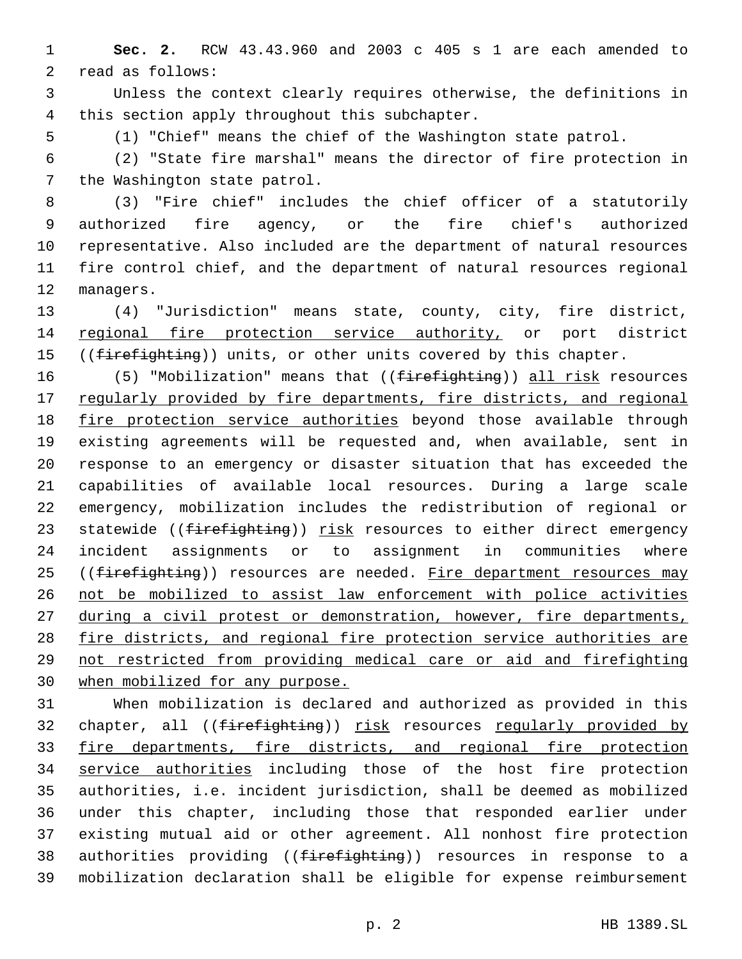**Sec. 2.** RCW 43.43.960 and 2003 c 405 s 1 are each amended to 2 read as follows:

 Unless the context clearly requires otherwise, the definitions in 4 this section apply throughout this subchapter.

(1) "Chief" means the chief of the Washington state patrol.

 (2) "State fire marshal" means the director of fire protection in 7 the Washington state patrol.

 (3) "Fire chief" includes the chief officer of a statutorily authorized fire agency, or the fire chief's authorized representative. Also included are the department of natural resources fire control chief, and the department of natural resources regional 12 managers.

 (4) "Jurisdiction" means state, county, city, fire district, 14 regional fire protection service authority, or port district 15 ((firefighting)) units, or other units covered by this chapter.

 (5) "Mobilization" means that ((firefighting)) all risk resources 17 regularly provided by fire departments, fire districts, and regional fire protection service authorities beyond those available through existing agreements will be requested and, when available, sent in response to an emergency or disaster situation that has exceeded the capabilities of available local resources. During a large scale emergency, mobilization includes the redistribution of regional or 23 statewide ((firefighting)) risk resources to either direct emergency incident assignments or to assignment in communities where 25 ((firefighting)) resources are needed. Fire department resources may not be mobilized to assist law enforcement with police activities during a civil protest or demonstration, however, fire departments, fire districts, and regional fire protection service authorities are not restricted from providing medical care or aid and firefighting when mobilized for any purpose.

 When mobilization is declared and authorized as provided in this 32 chapter, all ((firefighting)) risk resources regularly provided by 33 fire departments, fire districts, and regional fire protection service authorities including those of the host fire protection authorities, i.e. incident jurisdiction, shall be deemed as mobilized under this chapter, including those that responded earlier under existing mutual aid or other agreement. All nonhost fire protection 38 authorities providing ((firefighting)) resources in response to a mobilization declaration shall be eligible for expense reimbursement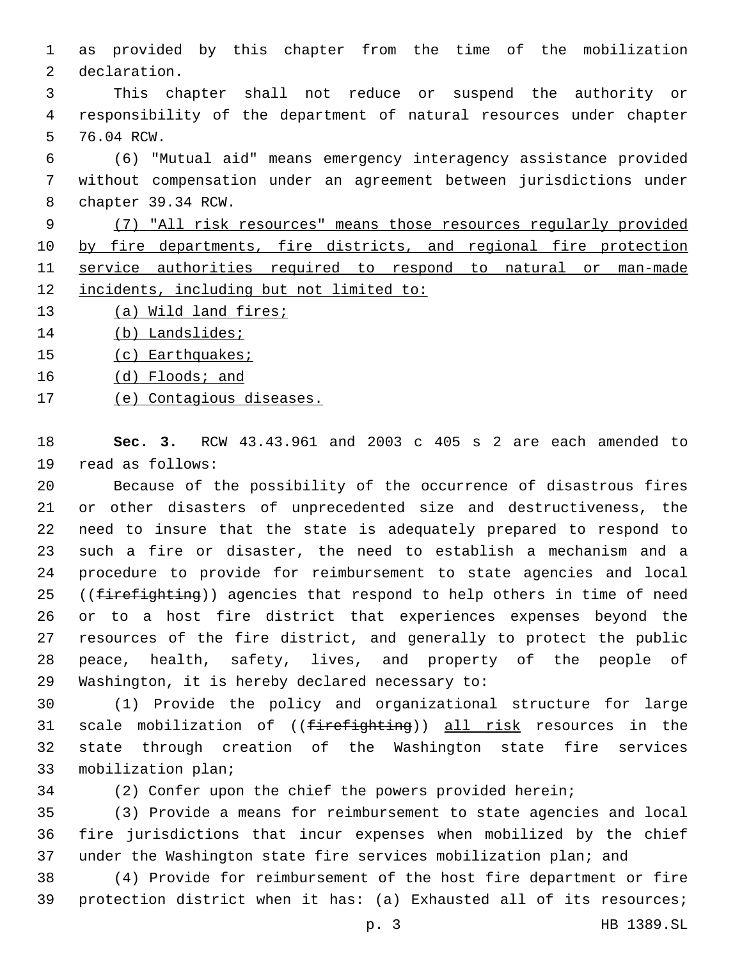as provided by this chapter from the time of the mobilization 2 declaration.

 This chapter shall not reduce or suspend the authority or responsibility of the department of natural resources under chapter 5 76.04 RCW.

 (6) "Mutual aid" means emergency interagency assistance provided without compensation under an agreement between jurisdictions under 8 chapter 39.34 RCW.

 (7) "All risk resources" means those resources regularly provided by fire departments, fire districts, and regional fire protection service authorities required to respond to natural or man-made incidents, including but not limited to:

- (a) Wild land fires;
- 14 (b) Landslides;
- (c) Earthquakes;
- 16 (d) Floods; and
- (e) Contagious diseases.

 **Sec. 3.** RCW 43.43.961 and 2003 c 405 s 2 are each amended to 19 read as follows:

 Because of the possibility of the occurrence of disastrous fires or other disasters of unprecedented size and destructiveness, the need to insure that the state is adequately prepared to respond to such a fire or disaster, the need to establish a mechanism and a procedure to provide for reimbursement to state agencies and local 25 ((firefighting)) agencies that respond to help others in time of need or to a host fire district that experiences expenses beyond the resources of the fire district, and generally to protect the public peace, health, safety, lives, and property of the people of 29 Washington, it is hereby declared necessary to:

 (1) Provide the policy and organizational structure for large 31 scale mobilization of ((firefighting)) all risk resources in the state through creation of the Washington state fire services 33 mobilization plan;

(2) Confer upon the chief the powers provided herein;

 (3) Provide a means for reimbursement to state agencies and local fire jurisdictions that incur expenses when mobilized by the chief under the Washington state fire services mobilization plan; and

 (4) Provide for reimbursement of the host fire department or fire protection district when it has: (a) Exhausted all of its resources;

p. 3 HB 1389.SL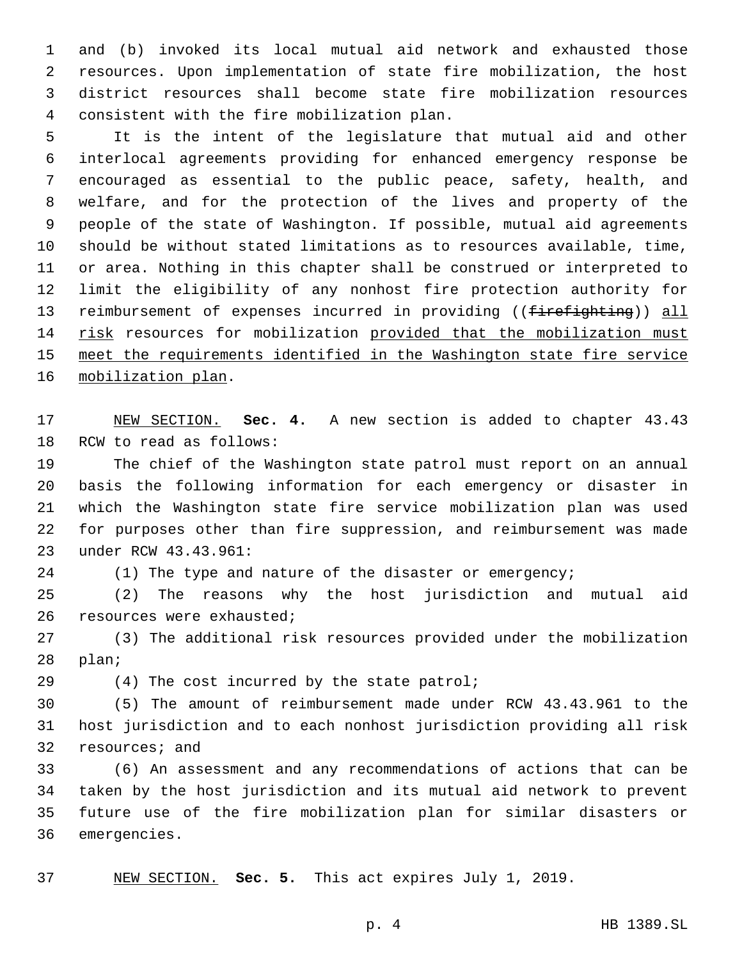and (b) invoked its local mutual aid network and exhausted those resources. Upon implementation of state fire mobilization, the host district resources shall become state fire mobilization resources consistent with the fire mobilization plan.4

 It is the intent of the legislature that mutual aid and other interlocal agreements providing for enhanced emergency response be encouraged as essential to the public peace, safety, health, and welfare, and for the protection of the lives and property of the people of the state of Washington. If possible, mutual aid agreements should be without stated limitations as to resources available, time, or area. Nothing in this chapter shall be construed or interpreted to limit the eligibility of any nonhost fire protection authority for 13 reimbursement of expenses incurred in providing ((firefighting)) all 14 risk resources for mobilization provided that the mobilization must meet the requirements identified in the Washington state fire service 16 mobilization plan.

 NEW SECTION. **Sec. 4.** A new section is added to chapter 43.43 18 RCW to read as follows:

 The chief of the Washington state patrol must report on an annual basis the following information for each emergency or disaster in which the Washington state fire service mobilization plan was used for purposes other than fire suppression, and reimbursement was made 23 under RCW 43.43.961:

24 (1) The type and nature of the disaster or emergency;

 (2) The reasons why the host jurisdiction and mutual aid 26 resources were exhausted;

 (3) The additional risk resources provided under the mobilization 28 plan;

(4) The cost incurred by the state patrol;

 (5) The amount of reimbursement made under RCW 43.43.961 to the host jurisdiction and to each nonhost jurisdiction providing all risk 32 resources; and

 (6) An assessment and any recommendations of actions that can be taken by the host jurisdiction and its mutual aid network to prevent future use of the fire mobilization plan for similar disasters or 36 emergencies.

NEW SECTION. **Sec. 5.** This act expires July 1, 2019.